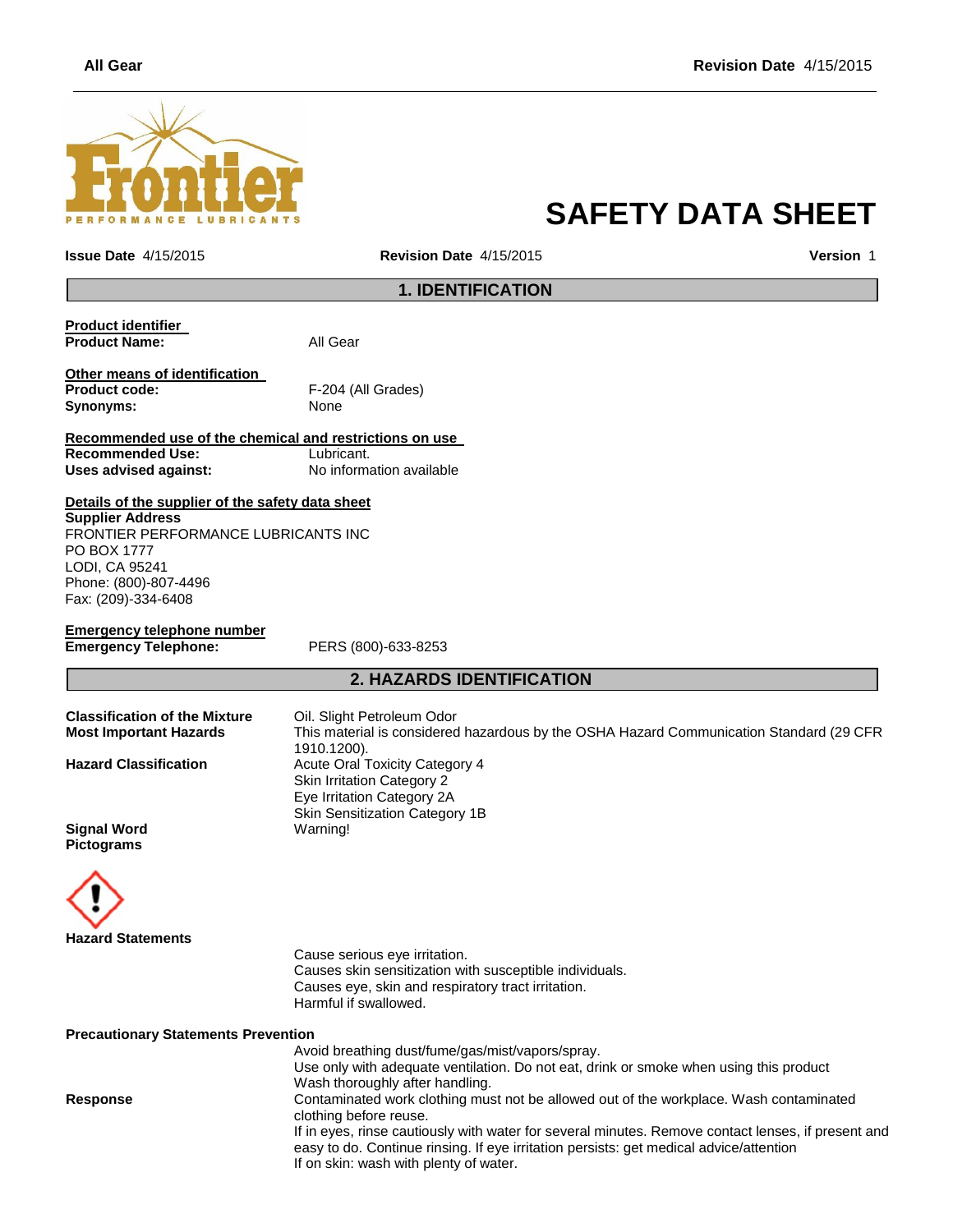

# **SAFETY DATA SHEET**

**Issue Date** 4/15/2015 **Revision Date** 4/15/2015 **Version** 1

## **1. IDENTIFICATION**

| Product identifier            |                    |
|-------------------------------|--------------------|
| <b>Product Name:</b>          | All Gear           |
| Other means of identification |                    |
| <b>Product code:</b>          | F-204 (All Grades) |
| Synonyms:                     | None               |
|                               |                    |

**Recommended use of the chemical and restrictions on use Recommended Use:**<br> **Uses advised against:**<br> **No information available Uses advised against:** 

**Details of the supplier of the safety data sheet Supplier Address**

FRONTIER PERFORMANCE LUBRICANTS INC PO BOX 1777 LODI, CA 95241 Phone: (800)-807-4496 Fax: (209)-334-6408

**Emergency telephone number Emergency Telephone:** PERS (800)-633-8253

# **2. HAZARDS IDENTIFICATION**

| This material is considered hazardous by the OSHA Hazard Communication Standard (29 CFR |
|-----------------------------------------------------------------------------------------|
|                                                                                         |
|                                                                                         |
|                                                                                         |
|                                                                                         |
|                                                                                         |
|                                                                                         |
|                                                                                         |
|                                                                                         |



Cause serious eye irritation. Causes skin sensitization with susceptible individuals. Causes eye, skin and respiratory tract irritation. Harmful if swallowed.

**Precautionary Statements Prevention**

Avoid breathing dust/fume/gas/mist/vapors/spray. Use only with adequate ventilation. Do not eat, drink or smoke when using this product Wash thoroughly after handling. **Response** Contaminated work clothing must not be allowed out of the workplace. Wash contaminated clothing before reuse. If in eyes, rinse cautiously with water for several minutes. Remove contact lenses, if present and easy to do. Continue rinsing. If eye irritation persists: get medical advice/attention If on skin: wash with plenty of water.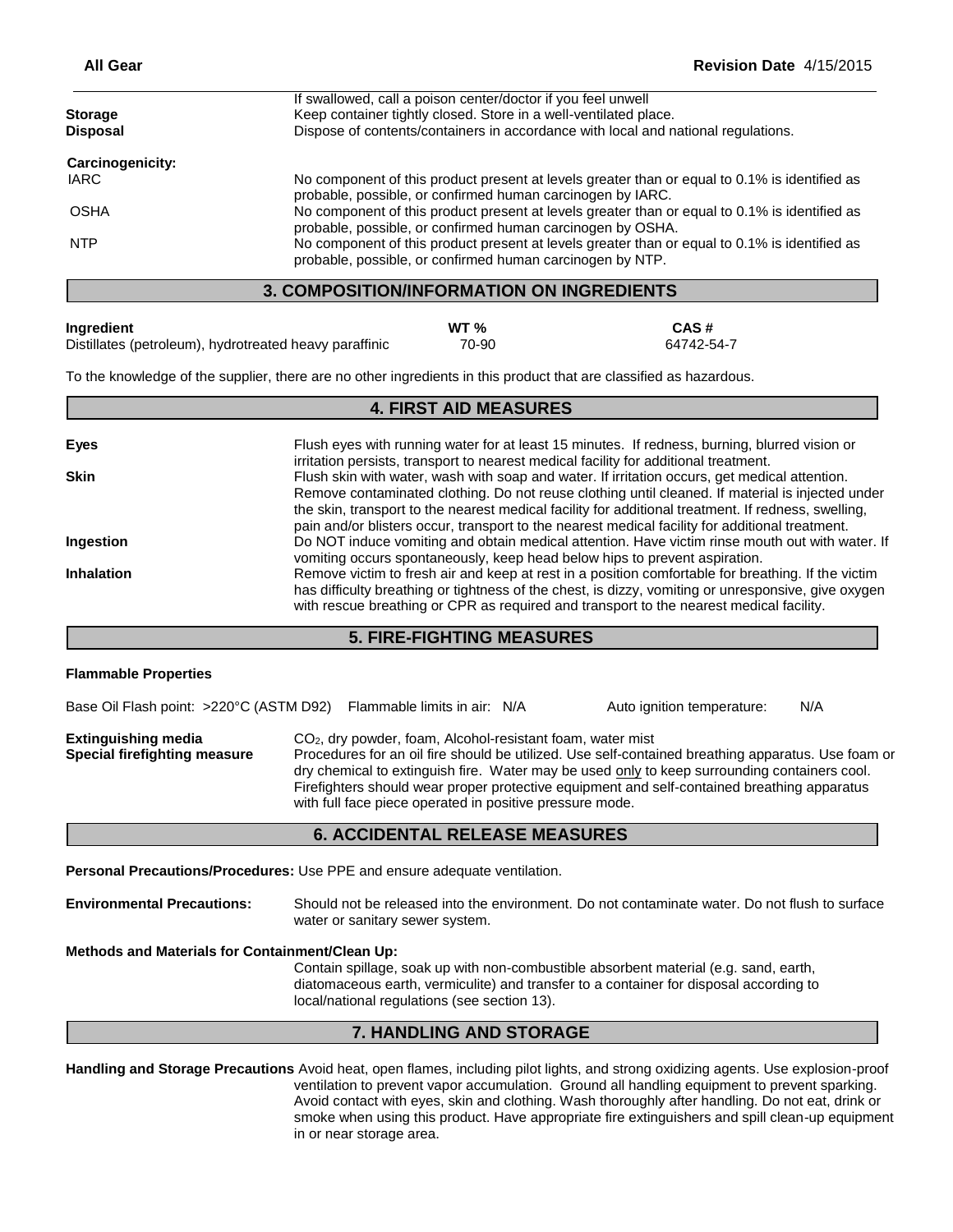| <b>Storage</b>                                   | If swallowed, call a poison center/doctor if you feel unwell<br>Keep container tightly closed. Store in a well-ventilated place.                            |  |
|--------------------------------------------------|-------------------------------------------------------------------------------------------------------------------------------------------------------------|--|
| <b>Disposal</b>                                  | Dispose of contents/containers in accordance with local and national regulations.                                                                           |  |
| Carcinogenicity:                                 |                                                                                                                                                             |  |
| <b>IARC</b>                                      | No component of this product present at levels greater than or equal to 0.1% is identified as<br>probable, possible, or confirmed human carcinogen by IARC. |  |
| <b>OSHA</b>                                      | No component of this product present at levels greater than or equal to 0.1% is identified as<br>probable, possible, or confirmed human carcinogen by OSHA. |  |
| <b>NTP</b>                                       | No component of this product present at levels greater than or equal to 0.1% is identified as<br>probable, possible, or confirmed human carcinogen by NTP.  |  |
| <b>3. COMPOSITION/INFORMATION ON INGREDIENTS</b> |                                                                                                                                                             |  |

# **Ingredient WT % CAS #**

Distillates (petroleum), hydrotreated heavy paraffinic  $\qquad 70-90$  64742-54-7

To the knowledge of the supplier, there are no other ingredients in this product that are classified as hazardous.

| <b>4. FIRST AID MEASURES</b> |                                                                                                                                                                                                                                                                                                                                                                                                             |  |
|------------------------------|-------------------------------------------------------------------------------------------------------------------------------------------------------------------------------------------------------------------------------------------------------------------------------------------------------------------------------------------------------------------------------------------------------------|--|
| Eyes                         | Flush eyes with running water for at least 15 minutes. If redness, burning, blurred vision or<br>irritation persists, transport to nearest medical facility for additional treatment.                                                                                                                                                                                                                       |  |
| <b>Skin</b>                  | Flush skin with water, wash with soap and water. If irritation occurs, get medical attention.<br>Remove contaminated clothing. Do not reuse clothing until cleaned. If material is injected under<br>the skin, transport to the nearest medical facility for additional treatment. If redness, swelling,<br>pain and/or blisters occur, transport to the nearest medical facility for additional treatment. |  |
| Ingestion                    | Do NOT induce vomiting and obtain medical attention. Have victim rinse mouth out with water. If<br>vomiting occurs spontaneously, keep head below hips to prevent aspiration.                                                                                                                                                                                                                               |  |
| <b>Inhalation</b>            | Remove victim to fresh air and keep at rest in a position comfortable for breathing. If the victim<br>has difficulty breathing or tightness of the chest, is dizzy, vomiting or unresponsive, give oxygen<br>with rescue breathing or CPR as required and transport to the nearest medical facility.                                                                                                        |  |

# **5. FIRE-FIGHTING MEASURES**

#### **Flammable Properties**

Base Oil Flash point: >220°C (ASTM D92) Flammable limits in air: N/A Auto ignition temperature: N/A **Extinguishing media** CO<sub>2</sub>, dry powder, foam, Alcohol-resistant foam, water mist **Special firefighting measure** Procedures for an oil fire should be utilized. Use self-contained breathing apparatus. Use foam or dry chemical to extinguish fire. Water may be used only to keep surrounding containers cool. Firefighters should wear proper protective equipment and self-contained breathing apparatus with full face piece operated in positive pressure mode.

### **6. ACCIDENTAL RELEASE MEASURES**

**Personal Precautions/Procedures:** Use PPE and ensure adequate ventilation.

**Environmental Precautions:** Should not be released into the environment. Do not contaminate water. Do not flush to surface water or sanitary sewer system.

**Methods and Materials for Containment/Clean Up:**

Contain spillage, soak up with non-combustible absorbent material (e.g. sand, earth, diatomaceous earth, vermiculite) and transfer to a container for disposal according to local/national regulations (see section 13).

# **7. HANDLING AND STORAGE**

**Handling and Storage Precautions** Avoid heat, open flames, including pilot lights, and strong oxidizing agents. Use explosion-proof ventilation to prevent vapor accumulation. Ground all handling equipment to prevent sparking. Avoid contact with eyes, skin and clothing. Wash thoroughly after handling. Do not eat, drink or smoke when using this product. Have appropriate fire extinguishers and spill clean-up equipment in or near storage area.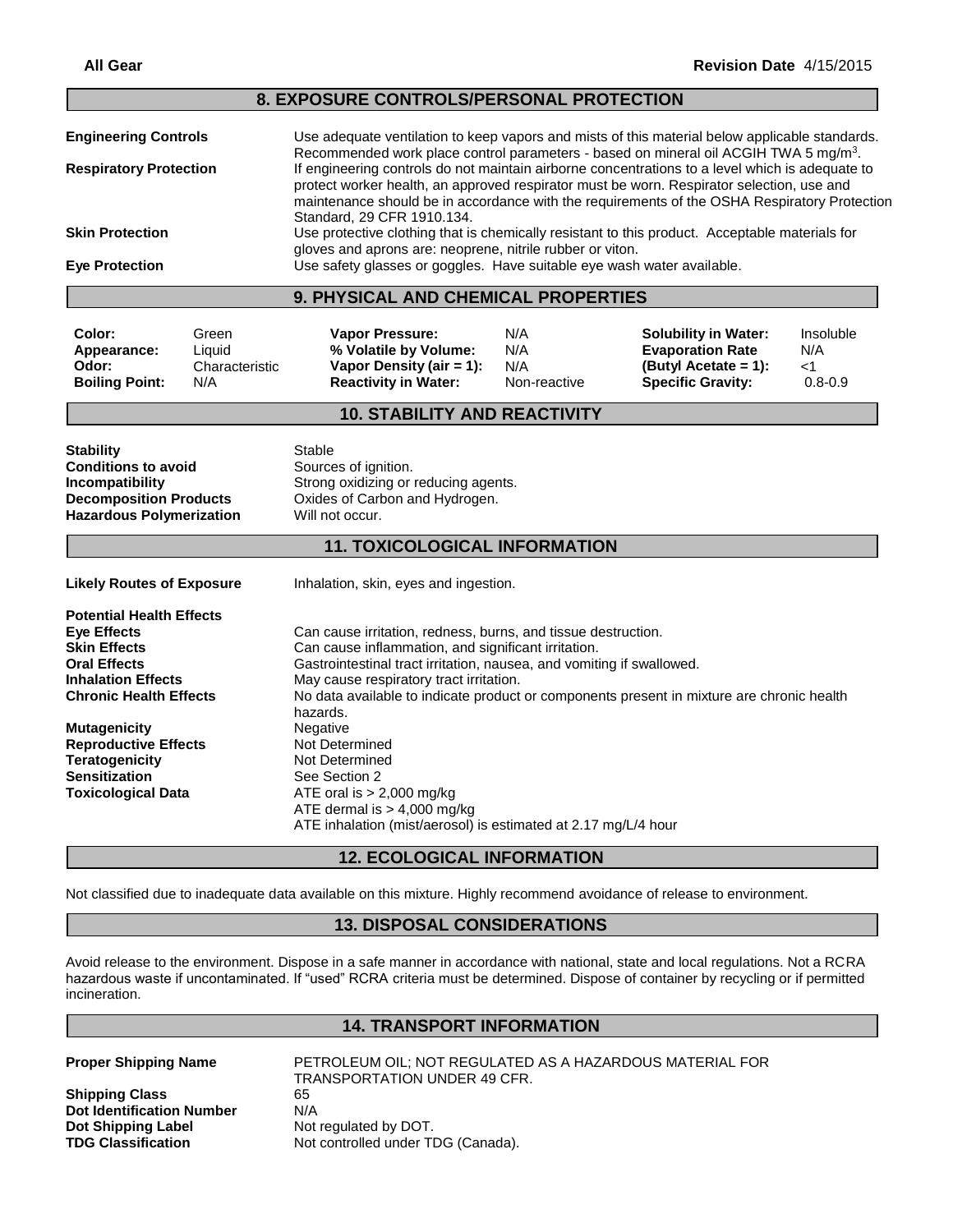#### **8. EXPOSURE CONTROLS/PERSONAL PROTECTION**

|                               | 9. PHYSICAL AND CHEMICAL PROPERTIES                                                                                                                                                                |
|-------------------------------|----------------------------------------------------------------------------------------------------------------------------------------------------------------------------------------------------|
| <b>Eye Protection</b>         | Use safety glasses or goggles. Have suitable eye wash water available.                                                                                                                             |
|                               | gloves and aprons are: neoprene, nitrile rubber or viton.                                                                                                                                          |
| <b>Skin Protection</b>        | Standard, 29 CFR 1910.134.<br>Use protective clothing that is chemically resistant to this product. Acceptable materials for                                                                       |
|                               | protect worker health, an approved respirator must be worn. Respirator selection, use and<br>maintenance should be in accordance with the requirements of the OSHA Respiratory Protection          |
| <b>Respiratory Protection</b> | If engineering controls do not maintain airborne concentrations to a level which is adequate to                                                                                                    |
| <b>Engineering Controls</b>   | Use adequate ventilation to keep vapors and mists of this material below applicable standards.<br>Recommended work place control parameters - based on mineral oil ACGIH TWA 5 mg/m <sup>3</sup> . |

**Color:** Green **Vapor Pressure:** N/A **Solubility in Water:** Insoluble<br> **Appearance:** Liquid **% Volatile by Volume:** N/A **By Evaporation Rate** N/A **Appearance:** Liquid **% Volatile by Volume:** N/A **Evaporation Rate** N/A **Odor:** Characteristic **Vapor Density (air = 1):** N/A **(Butyl Acetate = 1):** <1 **Boiling Point:** N/A **Reactivity in Water:** Non-reactive **Specific Gravity:** 0.8-0.9

# **10. STABILITY AND REACTIVITY**

**Stability** Stable **Conditions to avoid** Sources of ignition. **Hazardous Polymerization** Will not occur.

**Incompatibility Incompatibility** Strong oxidizing or reducing agents.<br>**Decomposition Products** Oxides of Carbon and Hydrogen. **Oxides of Carbon and Hydrogen.** 

#### **11. TOXICOLOGICAL INFORMATION**

Likely Routes of Exposure **Inhalation, skin, eyes and ingestion.** 

**Potential Health Effects Eye Effects** Can cause irritation, redness, burns, and tissue destruction. **Skin Effects** Can cause inflammation, and significant irritation. **Oral Effects** Gastrointestinal tract irritation, nausea, and vomiting if swallowed.<br> **Inhalation Effects** May cause respiratory tract irritation. May cause respiratory tract irritation. **Chronic Health Effects** No data available to indicate product or components present in mixture are chronic health hazards.<br>Negative **Mutagenicity** Negative **Reproductive Effects** Not Determined<br> **Teratogenicity** Not Determined **Teratogenicity Sensitization** See Section 2 **Toxicological Data** ATE oral is > 2,000 mg/kg ATE dermal is > 4,000 mg/kg ATE inhalation (mist/aerosol) is estimated at 2.17 mg/L/4 hour

## **12. ECOLOGICAL INFORMATION**

Not classified due to inadequate data available on this mixture. Highly recommend avoidance of release to environment.

## **13. DISPOSAL CONSIDERATIONS**

Avoid release to the environment. Dispose in a safe manner in accordance with national, state and local regulations. Not a RCRA hazardous waste if uncontaminated. If "used" RCRA criteria must be determined. Dispose of container by recycling or if permitted incineration.

### **14. TRANSPORT INFORMATION**

**Shipping Class** 65 **Dot Identification Number** N/A **Dot Shipping Label Mot regulated by DOT. TDG Classification** Not controlled under TDG (Canada).

**Proper Shipping Name** PETROLEUM OIL; NOT REGULATED AS A HAZARDOUS MATERIAL FOR TRANSPORTATION UNDER 49 CFR.